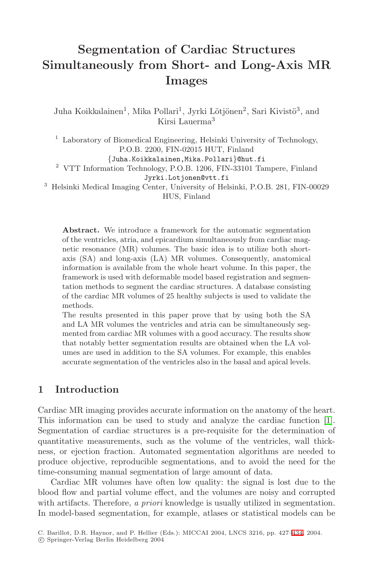# **Segmentation of Cardiac Structures Simultaneously from Short- and Long-Axis MR Images**

Juha Koikkalainen<sup>1</sup>, Mika Pollari<sup>1</sup>, Jyrki Lötjönen<sup>2</sup>, Sari Kivistö<sup>3</sup>, and Kirsi Lauerma<sup>3</sup>

<sup>1</sup> Laboratory of Biomedical Engineering, Helsinki University of Technology, P.O.B. 2200, FIN-02015 HUT, Finland

{Juha.Koikkalainen,Mika.Pollari}@hut.fi

<sup>2</sup> VTT Information Technology, P.O.B. 1206, FIN-33101 Tampere, Finland Jyrki.Lotjonen@vtt.fi

<sup>3</sup> Helsinki Medical Imaging Center, University of Helsinki, P.O.B. 281, FIN-00029 HUS, Finland

**Abstract.** We introduce a framework for the automatic segmentation of the ventricles, atria, and epicardium simultaneously from cardiac magnetic resonance (MR) volumes. The basic idea is to utilize both shortaxis (SA) and long-axis (LA) MR volumes. Consequently, anatomical information is available from the whole heart volume. In this paper, the framework is used with deformable model based registration and segmentation methods to segment the cardiac structures. A database consisting of the cardiac MR volumes of 25 healthy subjects is used to validate the methods.

The results presented in this paper prove that by using both the SA and LA MR volumes the ventricles and atria can be simultaneously segmented from cardiac MR volumes with a good accuracy. The results show that notably better segmentation results are obtained when the LA volumes are used in addition to the SA volumes. For example, this enables accurate segmentation of the ventricles also in the basal and apical levels.

# **1 Introduction**

Cardiac MR imaging provides accurate information on the anatomy of the heart. This information can be used to study and analyze the cardiac function [\[1\]](#page-6-0). Segmentation of cardiac structures is a pre-requisite for the determination of quantitative measurements, such as the volume of the ventricles, wall thickness, or ejection fraction. Automated segmentation algorithms are needed to produce objective, reproducible segmentations, and to avoid the need for the time-consuming manual segmentation of large amount of data.

Cardiac MR volumes have often low quality: the signal is lost due to the blood flow and partial volume effect, and the volumes are noisy and corrupted with artifacts. Therefore, *a priori* knowledge is usually utilized in segmentation. In model-based segmentation, for example, atlases or statistical models can be

C. Barillot, D.R. Haynor, and P. Hellier (Eds.): MICCAI 2004, LNCS 3216, pp. 427–[434,](#page-6-0) 2004.

c Springer-Verlag Berlin Heidelberg 2004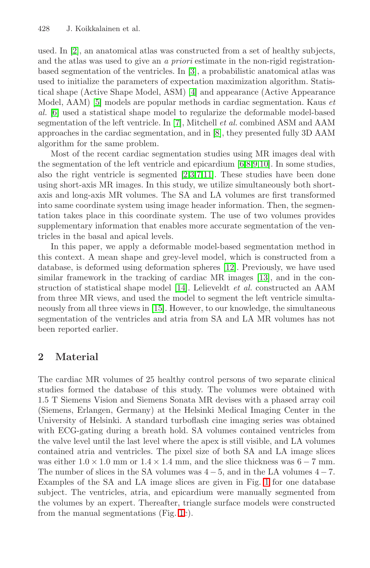<span id="page-1-0"></span>used. In [\[2\]](#page-6-0), an anatomical atlas was constructed from a set of healthy subjects, and the atlas was used to give an *a priori* estimate in the non-rigid registrationbased segmentation of the ventricles. In [\[3\]](#page-6-0), a probabilistic anatomical atlas was used to initialize the parameters of expectation maximization algorithm. Statistical shape (Active Shape Model, ASM) [\[4\]](#page-7-0) and appearance (Active Appearance Model, AAM) [\[5\]](#page-7-0) models are popular methods in cardiac segmentation. Kaus *et al.* [\[6\]](#page-7-0) used a statistical shape model to regularize the deformable model-based segmentation of the left ventricle. In [\[7\]](#page-7-0), Mitchell *et al.* combined ASM and AAM approaches in the cardiac segmentation, and in [\[8\]](#page-7-0), they presented fully 3D AAM algorithm for the same problem.

Most of the recent cardiac segmentation studies using MR images deal with the segmentation of the left ventricle and epicardium  $[6,8,9,10]$ . In some studies, also the right ventricle is segmented [\[2,3](#page-6-0)[,7,11\]](#page-7-0). These studies have been done using short-axis MR images. In this study, we utilize simultaneously both shortaxis and long-axis MR volumes. The SA and LA volumes are first transformed into same coordinate system using image header information. Then, the segmentation takes place in this coordinate system. The use of two volumes provides supplementary information that enables more accurate segmentation of the ventricles in the basal and apical levels.

In this paper, we apply a deformable model-based segmentation method in this context. A mean shape and grey-level model, which is constructed from a database, is deformed using deformation spheres [\[12\]](#page-7-0). Previously, we have used similar framework in the tracking of cardiac MR images [\[13\]](#page-7-0), and in the construction of statistical shape model [\[14\]](#page-7-0). Lelieveldt *et al.* constructed an AAM from three MR views, and used the model to segment the left ventricle simultaneously from all three views in [\[15\]](#page-7-0). However, to our knowledge, the simultaneous segmentation of the ventricles and atria from SA and LA MR volumes has not been reported earlier.

# **2 Material**

The cardiac MR volumes of 25 healthy control persons of two separate clinical studies formed the database of this study. The volumes were obtained with 1.5 T Siemens Vision and Siemens Sonata MR devises with a phased array coil (Siemens, Erlangen, Germany) at the Helsinki Medical Imaging Center in the University of Helsinki. A standard turboflash cine imaging series was obtained with ECG-gating during a breath hold. SA volumes contained ventricles from the valve level until the last level where the apex is still visible, and LA volumes contained atria and ventricles. The pixel size of both SA and LA image slices was either  $1.0 \times 1.0$  mm or  $1.4 \times 1.4$  mm, and the slice thickness was  $6 - 7$  mm. The number of slices in the SA volumes was  $4-5$ , and in the LA volumes  $4-7$ . Examples of the SA and LA image slices are given in Fig. [1](#page-2-0) for one database subject. The ventricles, atria, and epicardium were manually segmented from the volumes by an expert. Thereafter, triangle surface models were constructed from the manual segmentations (Fig. [1c](#page-2-0)).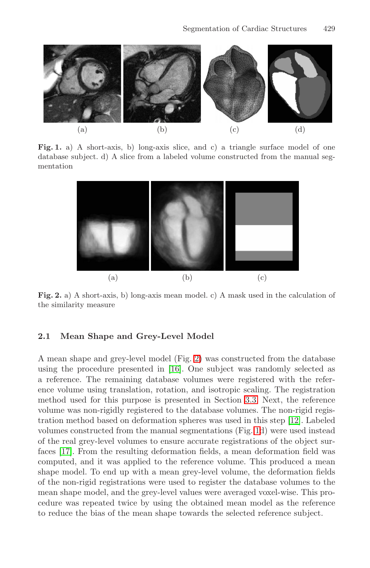<span id="page-2-0"></span>

**Fig. 1.** a) A short-axis, b) long-axis slice, and c) a triangle surface model of one database subject. d) A slice from a labeled volume constructed from the manual segmentation



**Fig. 2.** a) A short-axis, b) long-axis mean model. c) A mask used in the calculation of the similarity measure

#### **2.1 Mean Shape and Grey-Level Model**

A mean shape and grey-level model (Fig. 2) was constructed from the database using the procedure presented in [\[16\]](#page-7-0). One subject was randomly selected as a reference. The remaining database volumes were registered with the reference volume using translation, rotation, and isotropic scaling. The registration method used for this purpose is presented in Section [3.3.](#page-4-0) Next, the reference volume was non-rigidly registered to the database volumes. The non-rigid registration method based on deformation spheres was used in this step [\[12\]](#page-7-0). Labeled volumes constructed from the manual segmentations (Fig. 1d) were used instead of the real grey-level volumes to ensure accurate registrations of the object surfaces [\[17\]](#page-7-0). From the resulting deformation fields, a mean deformation field was computed, and it was applied to the reference volume. This produced a mean shape model. To end up with a mean grey-level volume, the deformation fields of the non-rigid registrations were used to register the database volumes to the mean shape model, and the grey-level values were averaged voxel-wise. This procedure was repeated twice by using the obtained mean model as the reference to reduce the bias of the mean shape towards the selected reference subject.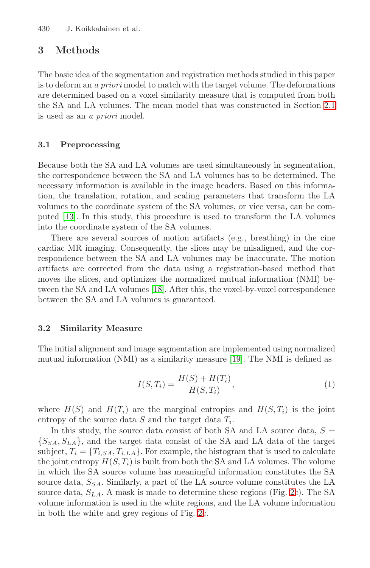# <span id="page-3-0"></span>**3 Methods**

The basic idea of the segmentation and registration methods studied in this paper is to deform an *a priori* model to match with the target volume. The deformations are determined based on a voxel similarity measure that is computed from both the SA and LA volumes. The mean model that was constructed in Section [2.1](#page-2-0) is used as an *a priori* model.

# **3.1 Preprocessing**

Because both the SA and LA volumes are used simultaneously in segmentation, the correspondence between the SA and LA volumes has to be determined. The necessary information is available in the image headers. Based on this information, the translation, rotation, and scaling parameters that transform the LA volumes to the coordinate system of the SA volumes, or vice versa, can be computed [\[13\]](#page-7-0). In this study, this procedure is used to transform the LA volumes into the coordinate system of the SA volumes.

There are several sources of motion artifacts (e.g., breathing) in the cine cardiac MR imaging. Consequently, the slices may be misaligned, and the correspondence between the SA and LA volumes may be inaccurate. The motion artifacts are corrected from the data using a registration-based method that moves the slices, and optimizes the normalized mutual information (NMI) between the SA and LA volumes [\[18\]](#page-7-0). After this, the voxel-by-voxel correspondence between the SA and LA volumes is guaranteed.

# **3.2 Similarity Measure**

The initial alignment and image segmentation are implemented using normalized mutual information (NMI) as a similarity measure [\[19\]](#page-7-0). The NMI is defined as

$$
I(S, T_i) = \frac{H(S) + H(T_i)}{H(S, T_i)},
$$
\n(1)

where  $H(S)$  and  $H(T_i)$  are the marginal entropies and  $H(S, T_i)$  is the joint entropy of the source data S and the target data  $T_i$ .

In this study, the source data consist of both SA and LA source data,  $S =$  $\{S_{SA}, S_{LA}\}\$ , and the target data consist of the SA and LA data of the target subject,  $T_i = \{T_{i,SA}, T_{i,LA}\}\.$  For example, the histogram that is used to calculate the joint entropy  $H(S, T_i)$  is built from both the SA and LA volumes. The volume in which the SA source volume has meaningful information constitutes the SA source data,  $S_{SA}$ . Similarly, a part of the LA source volume constitutes the LA source data,  $S_{LA}$ . A mask is made to determine these regions (Fig. [2c](#page-2-0)). The SA volume information is used in the white regions, and the LA volume information in both the white and grey regions of Fig. [2c](#page-2-0).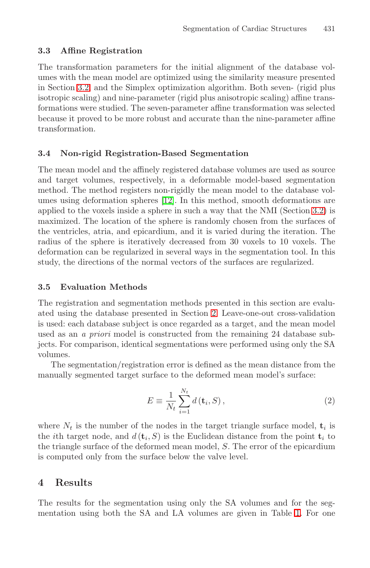#### <span id="page-4-0"></span>**3.3 Affine Registration**

The transformation parameters for the initial alignment of the database volumes with the mean model are optimized using the similarity measure presented in Section [3.2,](#page-3-0) and the Simplex optimization algorithm. Both seven- (rigid plus isotropic scaling) and nine-parameter (rigid plus anisotropic scaling) affine transformations were studied. The seven-parameter affine transformation was selected because it proved to be more robust and accurate than the nine-parameter affine transformation.

#### **3.4 Non-rigid Registration-Based Segmentation**

The mean model and the affinely registered database volumes are used as source and target volumes, respectively, in a deformable model-based segmentation method. The method registers non-rigidly the mean model to the database volumes using deformation spheres [\[12\]](#page-7-0). In this method, smooth deformations are applied to the voxels inside a sphere in such a way that the NMI (Section [3.2\)](#page-3-0) is maximized. The location of the sphere is randomly chosen from the surfaces of the ventricles, atria, and epicardium, and it is varied during the iteration. The radius of the sphere is iteratively decreased from 30 voxels to 10 voxels. The deformation can be regularized in several ways in the segmentation tool. In this study, the directions of the normal vectors of the surfaces are regularized.

#### **3.5 Evaluation Methods**

The registration and segmentation methods presented in this section are evaluated using the database presented in Section [2.](#page-1-0) Leave-one-out cross-validation is used: each database subject is once regarded as a target, and the mean model used as an *a priori* model is constructed from the remaining 24 database subjects. For comparison, identical segmentations were performed using only the SA volumes.

The segmentation/registration error is defined as the mean distance from the manually segmented target surface to the deformed mean model's surface:

$$
E \equiv \frac{1}{N_t} \sum_{i=1}^{N_t} d(\mathbf{t}_i, S), \qquad (2)
$$

where  $N_t$  is the number of the nodes in the target triangle surface model,  $t_i$  is the *i*th target node, and  $d(\mathbf{t}_i, S)$  is the Euclidean distance from the point  $\mathbf{t}_i$  to the triangle surface of the deformed mean model, S. The error of the epicardium is computed only from the surface below the valve level.

# **4 Results**

The results for the segmentation using only the SA volumes and for the segmentation using both the SA and LA volumes are given in Table [1.](#page-5-0) For one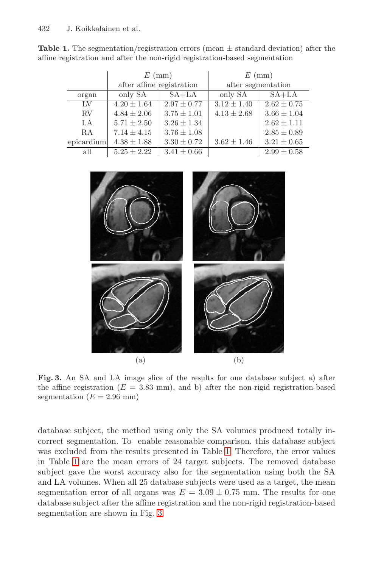|            | $E$ (mm)                  |                 | $E$ (mm)           |                 |
|------------|---------------------------|-----------------|--------------------|-----------------|
|            | after affine registration |                 | after segmentation |                 |
| organ      | only SA                   | $SA+LA$         | only SA            | $SA+LA$         |
| LV         | $4.20 \pm 1.64$           | $2.97 \pm 0.77$ | $3.12 \pm 1.40$    | $2.62 \pm 0.75$ |
| RV         | $4.84 \pm 2.06$           | $3.75 \pm 1.01$ | $4.13 \pm 2.68$    | $3.66 \pm 1.04$ |
| LA         | $5.71 \pm 2.50$           | $3.26 \pm 1.34$ |                    | $2.62 \pm 1.11$ |
| R.A        | $7.14 \pm 4.15$           | $3.76 \pm 1.08$ |                    | $2.85 \pm 0.89$ |
| epicardium | $4.38 \pm 1.88$           | $3.30 \pm 0.72$ | $3.62 \pm 1.46$    | $3.21 \pm 0.65$ |
| all        | $5.25 \pm 2.22$           | $3.41 \pm 0.66$ |                    | $2.99 \pm 0.58$ |

<span id="page-5-0"></span>**Table 1.** The segmentation/registration errors (mean  $\pm$  standard deviation) after the affine registration and after the non-rigid registration-based segmentation



**Fig. 3.** An SA and LA image slice of the results for one database subject a) after the affine registration  $(E = 3.83 \text{ mm})$ , and b) after the non-rigid registration-based segmentation ( $E = 2.96$  mm)

database subject, the method using only the SA volumes produced totally incorrect segmentation. To enable reasonable comparison, this database subject was excluded from the results presented in Table 1. Therefore, the error values in Table 1 are the mean errors of 24 target subjects. The removed database subject gave the worst accuracy also for the segmentation using both the SA and LA volumes. When all 25 database subjects were used as a target, the mean segmentation error of all organs was  $E = 3.09 \pm 0.75$  mm. The results for one database subject after the affine registration and the non-rigid registration-based segmentation are shown in Fig. 3.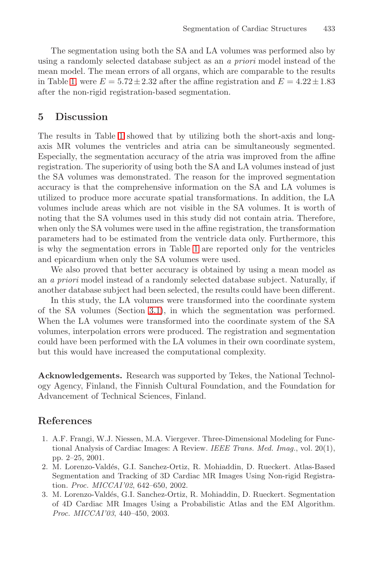<span id="page-6-0"></span>The segmentation using both the SA and LA volumes was performed also by using a randomly selected database subject as an *a priori* model instead of the mean model. The mean errors of all organs, which are comparable to the results in Table [1,](#page-5-0) were  $E = 5.72 \pm 2.32$  after the affine registration and  $E = 4.22 \pm 1.83$ after the non-rigid registration-based segmentation.

# **5 Discussion**

The results in Table [1](#page-5-0) showed that by utilizing both the short-axis and longaxis MR volumes the ventricles and atria can be simultaneously segmented. Especially, the segmentation accuracy of the atria was improved from the affine registration. The superiority of using both the SA and LA volumes instead of just the SA volumes was demonstrated. The reason for the improved segmentation accuracy is that the comprehensive information on the SA and LA volumes is utilized to produce more accurate spatial transformations. In addition, the LA volumes include areas which are not visible in the SA volumes. It is worth of noting that the SA volumes used in this study did not contain atria. Therefore, when only the SA volumes were used in the affine registration, the transformation parameters had to be estimated from the ventricle data only. Furthermore, this is why the segmentation errors in Table [1](#page-5-0) are reported only for the ventricles and epicardium when only the SA volumes were used.

We also proved that better accuracy is obtained by using a mean model as an *a priori* model instead of a randomly selected database subject. Naturally, if another database subject had been selected, the results could have been different.

In this study, the LA volumes were transformed into the coordinate system of the SA volumes (Section [3.1\)](#page-3-0), in which the segmentation was performed. When the LA volumes were transformed into the coordinate system of the SA volumes, interpolation errors were produced. The registration and segmentation could have been performed with the LA volumes in their own coordinate system, but this would have increased the computational complexity.

**Acknowledgements.** Research was supported by Tekes, the National Technology Agency, Finland, the Finnish Cultural Foundation, and the Foundation for Advancement of Technical Sciences, Finland.

# **References**

- 1. A.F. Frangi, W.J. Niessen, M.A. Viergever. Three-Dimensional Modeling for Functional Analysis of Cardiac Images: A Review. IEEE Trans. Med. Imag., vol. 20(1), pp. 2–25, 2001.
- 2. M. Lorenzo-Vald´es, G.I. Sanchez-Ortiz, R. Mohiaddin, D. Rueckert. Atlas-Based Segmentation and Tracking of 3D Cardiac MR Images Using Non-rigid Registration. Proc. MICCAI'02, 642–650, 2002.
- 3. M. Lorenzo-Vald´es, G.I. Sanchez-Ortiz, R. Mohiaddin, D. Rueckert. Segmentation of 4D Cardiac MR Images Using a Probabilistic Atlas and the EM Algorithm. Proc. MICCAI'03, 440–450, 2003.